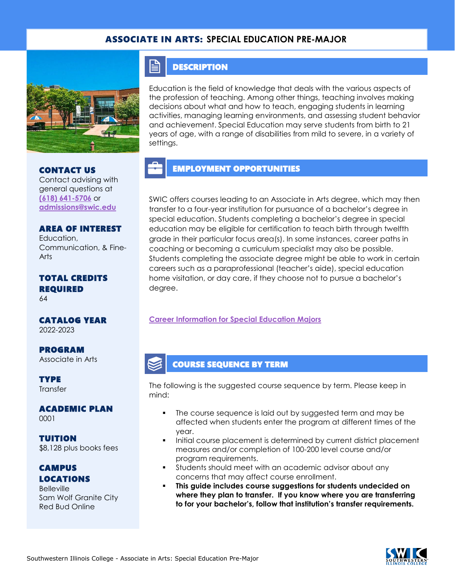## ASSOCIATE IN ARTS: **SPECIAL EDUCATION PRE-MAJOR**



CONTACT US Contact advising with general questions at **[\(618\) 641-5706](tel:%20(618)%20641-5706)** or **[admissions@swic.edu](mailto:admissions@swic.edu)**

AREA OF INTEREST Education, Communication, & Fine-Arts

#### TOTAL CREDITS REQUIRED 64

CATALOG YEAR 2022-2023

PROGRAM Associate in Arts

**TYPE Transfer** 

ACADEMIC PLAN 0001

TUITION \$8,128 plus books fees

CAMPUS LOCATIONS

**Belleville** Sam Wolf Granite City Red Bud Online

### **DESCRIPTION**

FI

Education is the field of knowledge that deals with the various aspects of the profession of teaching. Among other things, teaching involves making decisions about what and how to teach, engaging students in learning activities, managing learning environments, and assessing student behavior and achievement. Special Education may serve students from birth to 21 years of age, with a range of disabilities from mild to severe, in a variety of settings.

## EMPLOYMENT OPPORTUNITIES

SWIC offers courses leading to an Associate in Arts degree, which may then transfer to a four-year institution for pursuance of a bachelor's degree in special education. Students completing a bachelor's degree in special education may be eligible for certification to teach birth through twelfth grade in their particular focus area(s). In some instances, career paths in coaching or becoming a curriculum specialist may also be possible. Students completing the associate degree might be able to work in certain careers such as a paraprofessional (teacher's aide), special education home visitation, or day care, if they choose not to pursue a bachelor's degree.

#### **[Career Information for Special](https://www.isbe.net/) Education Majors**

## COURSE SEQUENCE BY TERM

The following is the suggested course sequence by term. Please keep in mind:

- The course sequence is laid out by suggested term and may be affected when students enter the program at different times of the year.
- Initial course placement is determined by current district placement measures and/or completion of 100-200 level course and/or program requirements.
- Students should meet with an academic advisor about any concerns that may affect course enrollment.
- **This guide includes course suggestions for students undecided on where they plan to transfer. If you know where you are transferring to for your bachelor's, follow that institution's transfer requirements.**